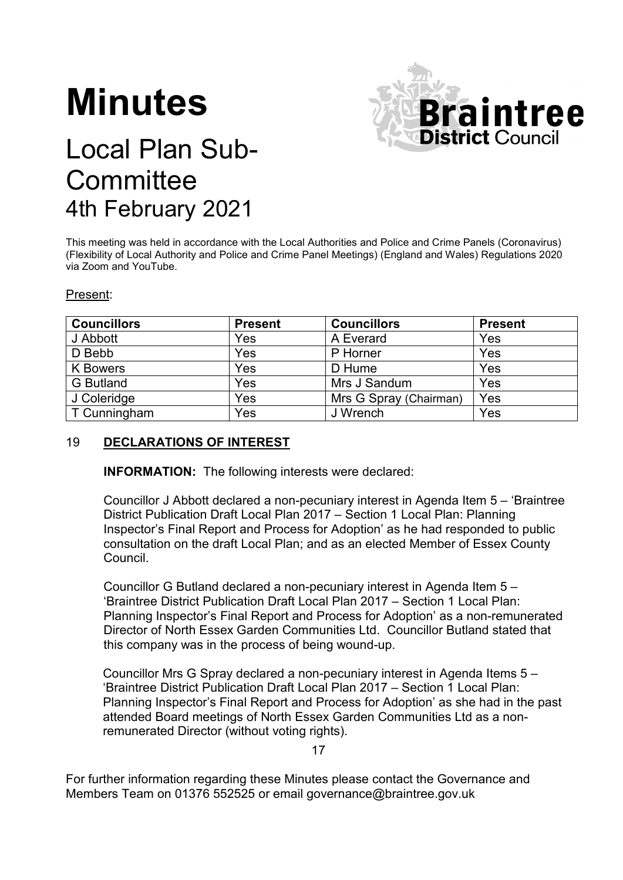# **Minutes**



# Local Plan Sub-**Committee** 4th February 2021

This meeting was held in accordance with the Local Authorities and Police and Crime Panels (Coronavirus) (Flexibility of Local Authority and Police and Crime Panel Meetings) (England and Wales) Regulations 2020 via Zoom and YouTube.

#### Present:

| <b>Councillors</b> | <b>Present</b> | <b>Councillors</b>     | <b>Present</b> |
|--------------------|----------------|------------------------|----------------|
| J Abbott           | Yes            | A Everard              | Yes            |
| D Bebb             | Yes            | P Horner               | Yes            |
| <b>K</b> Bowers    | Yes            | D Hume                 | Yes            |
| <b>G</b> Butland   | Yes            | Mrs J Sandum           | Yes            |
| J Coleridge        | Yes            | Mrs G Spray (Chairman) | Yes            |
| T Cunningham       | Yes            | J Wrench               | Yes            |

# 19 **DECLARATIONS OF INTEREST**

**INFORMATION:** The following interests were declared:

Councillor J Abbott declared a non-pecuniary interest in Agenda Item 5 – 'Braintree District Publication Draft Local Plan 2017 – Section 1 Local Plan: Planning Inspector's Final Report and Process for Adoption' as he had responded to public consultation on the draft Local Plan; and as an elected Member of Essex County Council.

Councillor G Butland declared a non-pecuniary interest in Agenda Item 5 – 'Braintree District Publication Draft Local Plan 2017 – Section 1 Local Plan: Planning Inspector's Final Report and Process for Adoption' as a non-remunerated Director of North Essex Garden Communities Ltd. Councillor Butland stated that this company was in the process of being wound-up.

Councillor Mrs G Spray declared a non-pecuniary interest in Agenda Items 5 – 'Braintree District Publication Draft Local Plan 2017 – Section 1 Local Plan: Planning Inspector's Final Report and Process for Adoption' as she had in the past attended Board meetings of North Essex Garden Communities Ltd as a nonremunerated Director (without voting rights).

17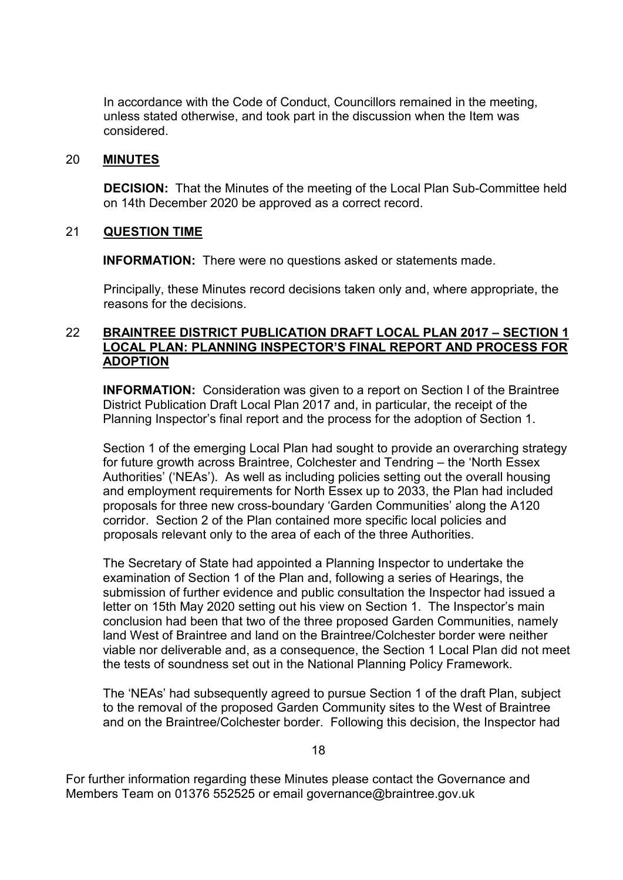In accordance with the Code of Conduct, Councillors remained in the meeting, unless stated otherwise, and took part in the discussion when the Item was considered.

#### 20 **MINUTES**

**DECISION:** That the Minutes of the meeting of the Local Plan Sub-Committee held on 14th December 2020 be approved as a correct record.

#### 21 **QUESTION TIME**

**INFORMATION:** There were no questions asked or statements made.

Principally, these Minutes record decisions taken only and, where appropriate, the reasons for the decisions.

#### 22 **BRAINTREE DISTRICT PUBLICATION DRAFT LOCAL PLAN 2017 – SECTION 1 LOCAL PLAN: PLANNING INSPECTOR'S FINAL REPORT AND PROCESS FOR ADOPTION**

**INFORMATION:** Consideration was given to a report on Section I of the Braintree District Publication Draft Local Plan 2017 and, in particular, the receipt of the Planning Inspector's final report and the process for the adoption of Section 1.

Section 1 of the emerging Local Plan had sought to provide an overarching strategy for future growth across Braintree, Colchester and Tendring – the 'North Essex Authorities' ('NEAs'). As well as including policies setting out the overall housing and employment requirements for North Essex up to 2033, the Plan had included proposals for three new cross-boundary 'Garden Communities' along the A120 corridor. Section 2 of the Plan contained more specific local policies and proposals relevant only to the area of each of the three Authorities.

The Secretary of State had appointed a Planning Inspector to undertake the examination of Section 1 of the Plan and, following a series of Hearings, the submission of further evidence and public consultation the Inspector had issued a letter on 15th May 2020 setting out his view on Section 1. The Inspector's main conclusion had been that two of the three proposed Garden Communities, namely land West of Braintree and land on the Braintree/Colchester border were neither viable nor deliverable and, as a consequence, the Section 1 Local Plan did not meet the tests of soundness set out in the National Planning Policy Framework.

The 'NEAs' had subsequently agreed to pursue Section 1 of the draft Plan, subject to the removal of the proposed Garden Community sites to the West of Braintree and on the Braintree/Colchester border. Following this decision, the Inspector had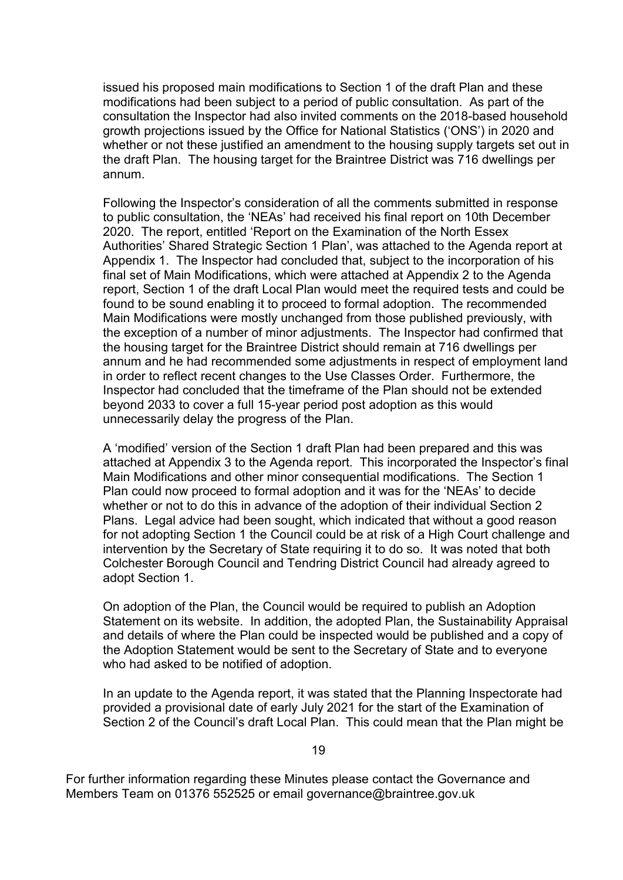issued his proposed main modifications to Section 1 of the draft Plan and these modifications had been subject to a period of public consultation. As part of the consultation the Inspector had also invited comments on the 2018-based household growth projections issued by the Office for National Statistics ('ONS') in 2020 and whether or not these justified an amendment to the housing supply targets set out in the draft Plan. The housing target for the Braintree District was 716 dwellings per annum.

Following the Inspector's consideration of all the comments submitted in response to public consultation, the 'NEAs' had received his final report on 10th December 2020. The report, entitled 'Report on the Examination of the North Essex Authorities' Shared Strategic Section 1 Plan', was attached to the Agenda report at Appendix 1. The Inspector had concluded that, subject to the incorporation of his final set of Main Modifications, which were attached at Appendix 2 to the Agenda report, Section 1 of the draft Local Plan would meet the required tests and could be found to be sound enabling it to proceed to formal adoption. The recommended Main Modifications were mostly unchanged from those published previously, with the exception of a number of minor adjustments. The Inspector had confirmed that the housing target for the Braintree District should remain at 716 dwellings per annum and he had recommended some adjustments in respect of employment land in order to reflect recent changes to the Use Classes Order. Furthermore, the Inspector had concluded that the timeframe of the Plan should not be extended beyond 2033 to cover a full 15-year period post adoption as this would unnecessarily delay the progress of the Plan.

A 'modified' version of the Section 1 draft Plan had been prepared and this was attached at Appendix 3 to the Agenda report. This incorporated the Inspector's final Main Modifications and other minor consequential modifications. The Section 1 Plan could now proceed to formal adoption and it was for the 'NEAs' to decide whether or not to do this in advance of the adoption of their individual Section 2 Plans. Legal advice had been sought, which indicated that without a good reason for not adopting Section 1 the Council could be at risk of a High Court challenge and intervention by the Secretary of State requiring it to do so. It was noted that both Colchester Borough Council and Tendring District Council had already agreed to adopt Section 1.

On adoption of the Plan, the Council would be required to publish an Adoption Statement on its website. In addition, the adopted Plan, the Sustainability Appraisal and details of where the Plan could be inspected would be published and a copy of the Adoption Statement would be sent to the Secretary of State and to everyone who had asked to be notified of adoption.

In an update to the Agenda report, it was stated that the Planning Inspectorate had provided a provisional date of early July 2021 for the start of the Examination of Section 2 of the Council's draft Local Plan. This could mean that the Plan might be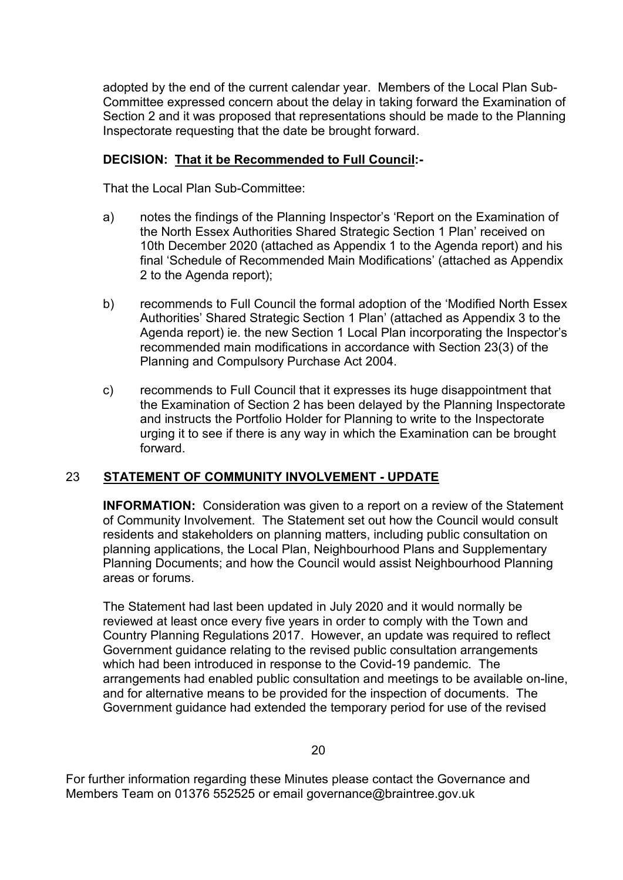adopted by the end of the current calendar year. Members of the Local Plan Sub-Committee expressed concern about the delay in taking forward the Examination of Section 2 and it was proposed that representations should be made to the Planning Inspectorate requesting that the date be brought forward.

# **DECISION: That it be Recommended to Full Council:-**

That the Local Plan Sub-Committee:

- a) notes the findings of the Planning Inspector's 'Report on the Examination of the North Essex Authorities Shared Strategic Section 1 Plan' received on 10th December 2020 (attached as Appendix 1 to the Agenda report) and his final 'Schedule of Recommended Main Modifications' (attached as Appendix 2 to the Agenda report);
- b) recommends to Full Council the formal adoption of the 'Modified North Essex Authorities' Shared Strategic Section 1 Plan' (attached as Appendix 3 to the Agenda report) ie. the new Section 1 Local Plan incorporating the Inspector's recommended main modifications in accordance with Section 23(3) of the Planning and Compulsory Purchase Act 2004.
- c) recommends to Full Council that it expresses its huge disappointment that the Examination of Section 2 has been delayed by the Planning Inspectorate and instructs the Portfolio Holder for Planning to write to the Inspectorate urging it to see if there is any way in which the Examination can be brought forward.

# 23 **STATEMENT OF COMMUNITY INVOLVEMENT - UPDATE**

**INFORMATION:** Consideration was given to a report on a review of the Statement of Community Involvement. The Statement set out how the Council would consult residents and stakeholders on planning matters, including public consultation on planning applications, the Local Plan, Neighbourhood Plans and Supplementary Planning Documents; and how the Council would assist Neighbourhood Planning areas or forums.

The Statement had last been updated in July 2020 and it would normally be reviewed at least once every five years in order to comply with the Town and Country Planning Regulations 2017. However, an update was required to reflect Government guidance relating to the revised public consultation arrangements which had been introduced in response to the Covid-19 pandemic. The arrangements had enabled public consultation and meetings to be available on-line, and for alternative means to be provided for the inspection of documents. The Government guidance had extended the temporary period for use of the revised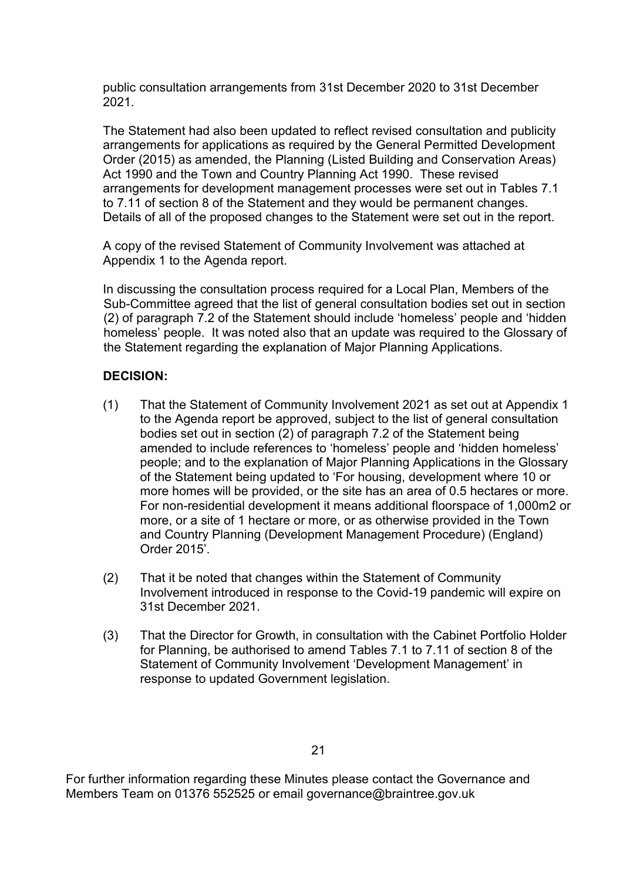public consultation arrangements from 31st December 2020 to 31st December 2021.

The Statement had also been updated to reflect revised consultation and publicity arrangements for applications as required by the General Permitted Development Order (2015) as amended, the Planning (Listed Building and Conservation Areas) Act 1990 and the Town and Country Planning Act 1990. These revised arrangements for development management processes were set out in Tables 7.1 to 7.11 of section 8 of the Statement and they would be permanent changes. Details of all of the proposed changes to the Statement were set out in the report.

A copy of the revised Statement of Community Involvement was attached at Appendix 1 to the Agenda report.

In discussing the consultation process required for a Local Plan, Members of the Sub-Committee agreed that the list of general consultation bodies set out in section (2) of paragraph 7.2 of the Statement should include 'homeless' people and 'hidden homeless' people. It was noted also that an update was required to the Glossary of the Statement regarding the explanation of Major Planning Applications.

# **DECISION:**

- (1) That the Statement of Community Involvement 2021 as set out at Appendix 1 to the Agenda report be approved, subject to the list of general consultation bodies set out in section (2) of paragraph 7.2 of the Statement being amended to include references to 'homeless' people and 'hidden homeless' people; and to the explanation of Major Planning Applications in the Glossary of the Statement being updated to 'For housing, development where 10 or more homes will be provided, or the site has an area of 0.5 hectares or more. For non-residential development it means additional floorspace of 1,000m2 or more, or a site of 1 hectare or more, or as otherwise provided in the Town and Country Planning (Development Management Procedure) (England) Order 2015'.
- (2) That it be noted that changes within the Statement of Community Involvement introduced in response to the Covid-19 pandemic will expire on 31st December 2021.
- (3) That the Director for Growth, in consultation with the Cabinet Portfolio Holder for Planning, be authorised to amend Tables 7.1 to 7.11 of section 8 of the Statement of Community Involvement 'Development Management' in response to updated Government legislation.